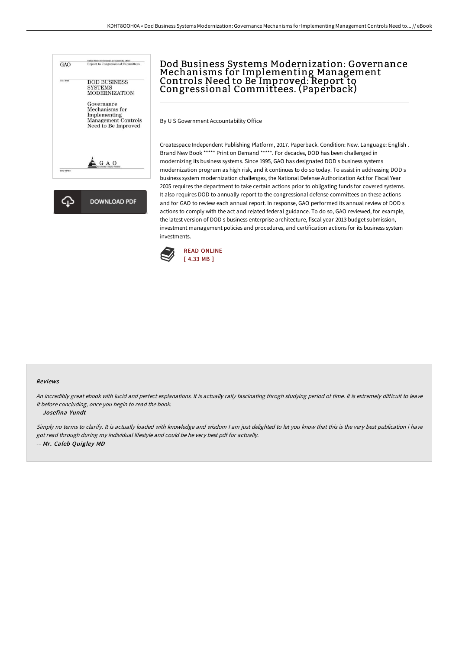



# Dod Business Systems Modernization: Governance Mechanisms for Implementing Management Controls Need to Be Improved: Report to Congressional Committees. (Paperback)

By U S Government Accountability Office

Createspace Independent Publishing Platform, 2017. Paperback. Condition: New. Language: English . Brand New Book \*\*\*\*\* Print on Demand \*\*\*\*\*. For decades, DOD has been challenged in modernizing its business systems. Since 1995, GAO has designated DOD s business systems modernization program as high risk, and it continues to do so today. To assist in addressing DOD s business system modernization challenges, the National Defense Authorization Act for Fiscal Year 2005 requires the department to take certain actions prior to obligating funds for covered systems. It also requires DOD to annually report to the congressional defense committees on these actions and for GAO to review each annual report. In response, GAO performed its annual review of DOD s actions to comply with the act and related federal guidance. To do so, GAO reviewed, for example, the latest version of DOD s business enterprise architecture, fiscal year 2013 budget submission, investment management policies and procedures, and certification actions for its business system investments.



### Reviews

An incredibly great ebook with lucid and perfect explanations. It is actually rally fascinating throgh studying period of time. It is extremely difficult to leave it before concluding, once you begin to read the book.

#### -- Josefina Yundt

Simply no terms to clarify. It is actually loaded with knowledge and wisdom <sup>I</sup> am just delighted to let you know that this is the very best publication i have got read through during my individual lifestyle and could be he very best pdf for actually. -- Mr. Caleb Quigley MD